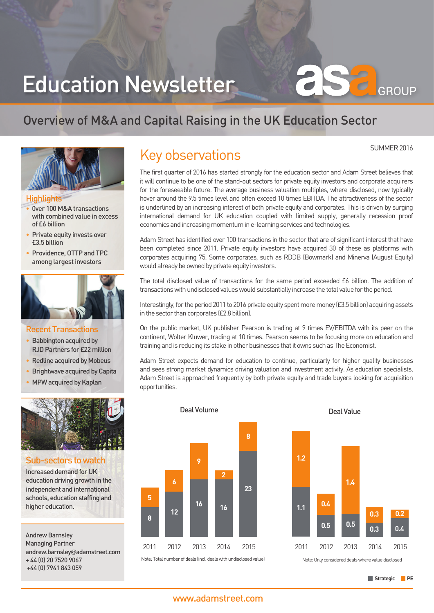# Education Newsletter

## Overview of M&A and Capital Raising in the UK Education Sector



#### **Highlights**

- 0ver 100 M&A transactions with combined value in excess of £6 billion
- Private equity invests over £3.5 billion
- Providence, OTTP and TPC among largest investors



#### Recent Transactions

- **Babbington acquired by** RJD Partners for £22 million
- Redline acquired by Mobeus
- Brightwave acquired by Capita
- MPW acquired by Kaplan



#### Sub-sectors to watch

Increased demand for UK education driving growth in the independent and international schools, education staffing and higher education.

Andrew Barnsley Managing Partner andrew.barnsley@adamstreet.com + 44 (0) 20 7520 9067 +44 (0) 7941 843 059

## Key observations

The first quarter of 2016 has started strongly for the education sector and Adam Street believes that it will continue to be one of the stand-out sectors for private equity investors and corporate acquirers for the foreseeable future. The average business valuation multiples, where disclosed, now typically hover around the 9.5 times level and often exceed 10 times EBITDA. The attractiveness of the sector is underlined by an increasing interest of both private equity and corporates. This is driven by surging international demand for UK education coupled with limited supply, generally recession proof economics and increasing momentum in e-learning services and technologies.

Adam Street has identified over 100 transactions in the sector that are of significant interest that have been completed since 2011. Private equity investors have acquired 30 of these as platforms with corporates acquiring 75. Some corporates, such as RDDB (Bowmark) and Minerva (August Equity) would already be owned by private equity investors.

The total disclosed value of transactions for the same period exceeded £6 billion. The addition of transactions with undisclosed values would substantially increase the total value for the period.

Interestingly, for the period 2011 to 2016 private equity spent more money (£3.5 billion) acquiring assets in the sector than corporates (£2.8 billion).

On the public market, UK publisher Pearson is trading at 9 times EV/EBITDA with its peer on the continent, Wolter Kluwer, trading at 10 times. Pearson seems to be focusing more on education and training and is reducing its stake in other businesses that it owns such as The Economist.

Adam Street expects demand for education to continue, particularly for higher quality businesses and sees strong market dynamics driving valuation and investment activity. As education specialists, Adam Street is approached frequently by both private equity and trade buyers looking for acquisition opportunities.



Note: Total number of deals (incl. deals with undisclosed value)



Note: Only considered deals where value disclosed

SUMMER 2016

GROUP

 $\subset$ 

#### www.adamstreet.com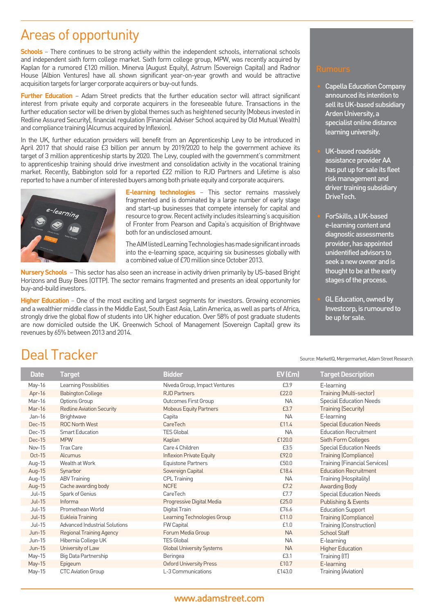## Areas of opportunity

**Schools** – There continues to be strong activity within the independent schools, international schools and independent sixth form college market. Sixth form college group, MPW, was recently acquired by Kaplan for a rumored £120 million. Minerva (August Equity), Astrum (Sovereign Capital) and Radnor House (Albion Ventures) have all shown significant year-on-year growth and would be attractive acquisition targets for larger corporate acquirers or buy-out funds.

**Further Education** – Adam Street predicts that the further education sector will attract significant interest from private equity and corporate acquirers in the foreseeable future. Transactions in the further education sector will be driven by global themes such as heightened security (Mobeus invested in Redline Assured Security), financial regulation (Financial Adviser School acquired by Old Mutual Wealth) and compliance training (Alcumus acquired by Inflexion).

In the UK, further education providers will benefit from an Apprenticeship Levy to be introduced in April 2017 that should raise £3 billion per annum by 2019/2020 to help the government achieve its target of 3 million apprenticeship starts by 2020. The Levy, coupled with the government's commitment to apprenticeship training should drive investment and consolidation activity in the vocational training market. Recently, Babbington sold for a reported £22 million to RJD Partners and Lifetime is also reported to have a number of interested buyers among both private equity and corporate acquirers.



**E-learning technologies** – This sector remains massively fragmented and is dominated by a large number of early stage and start-up businesses that compete intensely for capital and resource to grow. Recent activity includes itslearning's acquisition of Fronter from Pearson and Capita's acquisition of Brightwave both for an undisclosed amount.

The AIM listed Learning Technologies has made significant inroads into the e-learning space, acquiring six businesses globally with a combined value of £70 million since October 2013.

**Nursery Schools** – This sector has also seen an increase in activity driven primarily by US-based Bright Horizons and Busy Bees (OTTP). The sector remains fragmented and presents an ideal opportunity for buy-and-build investors.

**Higher Education** – One of the most exciting and largest segments for investors. Growing economies and a wealthier middle class in the Middle East, South East Asia, Latin America, as well as parts of Africa, strongly drive the global flow of students into UK higher education. Over 58% of post graduate students are now domiciled outside the UK. Greenwich School of Management (Sovereign Capital) grew its revenues by 65% between 2013 and 2014.

- Capella Education Company announced its intention to sell its UK-based subsidiary Arden University, a specialist online distance learning university.
- UK-based roadside assistance provider AA has put up for sale its fleet risk management and driver training subsidiary DriveTech.
- ForSkills, a UK-based e-learning content and diagnostic assessments provider, has appointed unidentified advisors to seek a new owner and is thought to be at the early stages of the process.
- GL Education, owned by Investcorp, is rumoured to be up for sale.

Source: MarketIQ, Mergermarket, Adam Street Research

## Deal Tracker

| <b>Date</b> | <b>Target</b>                        | <b>Bidder</b>                    | EV (£m)   | <b>Target Description</b>            |
|-------------|--------------------------------------|----------------------------------|-----------|--------------------------------------|
| May-16      | Learning Possibilities               | Niveda Group, Impact Ventures    | £3.9      | E-learning                           |
| Apr- $16$   | <b>Babington College</b>             | <b>RJD Partners</b>              | £22.0     | Training (Multi-sector)              |
| Mar-16      | Options Group                        | Outcomes First Group             | <b>NA</b> | <b>Special Education Needs</b>       |
| Mar-16      | <b>Redline Aviation Security</b>     | <b>Mobeus Equity Partners</b>    | £3.7      | <b>Training (Security)</b>           |
| Jan-16      | Brightwave                           | Capita                           | <b>NA</b> | E-learning                           |
| Dec-15      | <b>ROC North West</b>                | CareTech                         | £11.4     | <b>Special Education Needs</b>       |
| Dec-15      | <b>Smart Education</b>               | <b>TES Global</b>                | <b>NA</b> | <b>Education Recruitment</b>         |
| $Dec-15$    | <b>MPW</b>                           | Kaplan                           | £120.0    | <b>Sixth Form Colleges</b>           |
| Nov-15      | <b>Trax Care</b>                     | Care 4 Children                  | £3.5      | <b>Special Education Needs</b>       |
| Oct-15      | Alcumus                              | <b>Inflexion Private Equity</b>  | £92.0     | <b>Training (Compliance)</b>         |
| Aug-15      | Wealth at Work                       | Equistone Partners               | £50.0     | <b>Training (Financial Services)</b> |
| Aug-15      | Synarbor                             | Sovereign Capital                | £18.4     | <b>Education Recruitment</b>         |
| Aug-15      | <b>ABV Training</b>                  | CPL Training                     | <b>NA</b> | Training (Hospitality)               |
| Aug-15      | Cache awarding body                  | <b>NCFE</b>                      | £7.2      | Awarding Body                        |
| Jul-15      | Spark of Genius                      | CareTech                         | £7.7      | <b>Special Education Needs</b>       |
| $Jul-15$    | Informa                              | Progressive Digital Media        | £25.0     | Publishing & Events                  |
| $Jul-15$    | Promethean World                     | Digital Train                    | £76.6     | <b>Education Support</b>             |
| $Jul-15$    | Eukleia Training                     | Learning Technologies Group      | £11.0     | <b>Training (Compliance)</b>         |
| $Jul-15$    | <b>Advanced Industrial Solutions</b> | FW Capital                       | £1.0      | Training (Construction)              |
| $Jun-15$    | <b>Regional Training Agency</b>      | Forum Media Group                | <b>NA</b> | <b>School Staff</b>                  |
| $Jun-15$    | Hibernia College UK                  | <b>TES Global</b>                | <b>NA</b> | E-learning                           |
| $Jun-15$    | University of Law                    | <b>Global University Systems</b> | <b>NA</b> | <b>Higher Education</b>              |
| May-15      | Big Data Partnership                 | Beringea                         | £3.1      | Training (IT)                        |
| May-15      | Epigeum                              | <b>Oxford University Press</b>   | £10.7     | E-learning                           |
| May-15      | <b>CTC Aviation Group</b>            | L-3 Communications               | £143.0    | Training (Aviation)                  |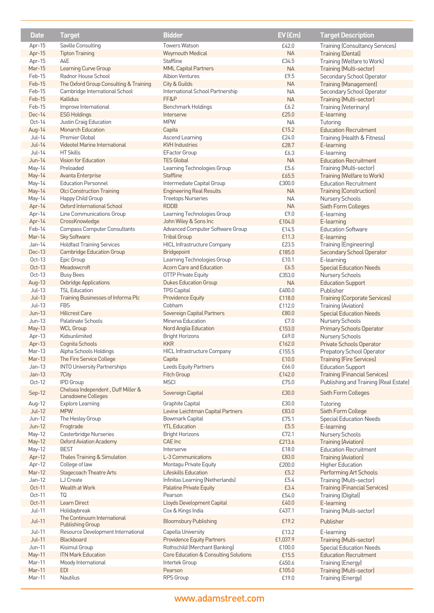| <b>Date</b>        | <b>Target</b>                                          | <b>Bidder</b>                                                  | EV (£m)         | <b>Target Description</b>                            |
|--------------------|--------------------------------------------------------|----------------------------------------------------------------|-----------------|------------------------------------------------------|
| Apr-15             | Saville Consulting                                     | <b>Towers Watson</b>                                           | £42.0           | <b>Training (Consultancy Services)</b>               |
| Apr-15             | <b>Tipton Training</b>                                 | Weymouth Medical                                               | NA              | <b>Training (Dental)</b>                             |
| Apr-15             | A4E                                                    | Staffline                                                      | £34.5           | Training (Welfare to Work)                           |
| Mar-15             | Learning Curve Group                                   | <b>MML Capital Partners</b>                                    | <b>NA</b>       | Training (Multi-sector)                              |
| Feb-15             | Radnor House School                                    | <b>Albion Ventures</b>                                         | £9.5            | Secondary School Operator                            |
| Feb-15             | The Oxford Group Consulting & Training                 | City & Guilds                                                  | NA              | Training (Management)                                |
| Feb-15             | Cambridge International School                         | International School Partnership                               | <b>NA</b>       | Secondary School Operator                            |
| Feb-15             | Kallidus                                               | FF&P                                                           | <b>NA</b>       | Training (Multi-sector)                              |
| Feb-15             | Improve International                                  | Benchmark Holdings                                             | £6.2            | Training (Veterinary)                                |
| Dec-14             | <b>ESG Holdings</b>                                    | Interserve                                                     | £25.0           | E-learning                                           |
| $Oct-14$           | Justin Craig Education                                 | <b>MPW</b>                                                     | <b>NA</b>       | Tutoring                                             |
| Aug-14             | Monarch Education                                      | Capita                                                         | £15.2           | <b>Education Recruitment</b>                         |
| $Jul-14$           | Premier Global                                         | Ascend Learning                                                | £24.0           | Training (Health & Fitness)                          |
| $Jul-14$           | Videotel Marine International                          | <b>KVH Industries</b>                                          | £28.7           | E-learning                                           |
| Jul-14             | <b>HT Skills</b>                                       | EFactor Group                                                  | £6.3            | E-learning                                           |
| $Jun-14$           | Vision for Education                                   | <b>TES Global</b>                                              | <b>NA</b>       | <b>Education Recruitment</b>                         |
| May-14             | Preloaded                                              | Learning Technologies Group                                    | £5.6            | Training (Multi-sector)                              |
| May-14             | Avanta Enterprise                                      | Staffline                                                      | £65.5           | Training (Welfare to Work)                           |
| May-14             | <b>Education Personnel</b>                             | Intermediate Capital Group                                     | £300.0          | <b>Education Recruitment</b>                         |
| May-14             | Olci Construction Training                             | <b>Engineering Real Results</b>                                | <b>NA</b>       | <b>Training (Construction)</b>                       |
| May-14             | Happy Child Group                                      | <b>Treetops Nurseries</b>                                      | NA              | Nursery Schools                                      |
| Apr-14             | Oxford International School                            | <b>RDDB</b>                                                    | <b>NA</b>       | Sixth Form Colleges                                  |
| Apr-14             | Line Communications Group                              | Learning Technologies Group                                    | £9.0            | E-learning                                           |
| Apr-14             | CrossKnowledge                                         | John Wiley & Sons Inc                                          | £104.0          | E-learning                                           |
| Feb-14             | Compass Computer Consultants                           | Advanced Computer Software Group                               | £14.5           | <b>Education Software</b>                            |
| Mar-14             | Sky Software                                           | <b>Tribal Group</b>                                            | £11.3           | E-learning                                           |
| Jan-14             | <b>Holdfast Training Services</b>                      | <b>HICL Infrastructure Company</b>                             | £23.5           | Training (Engineering)                               |
| Dec-13<br>$Oct-13$ | <b>Cambridge Education Group</b><br>Epic Group         | Bridgepoint                                                    | £185.0<br>£10.1 | Secondary School Operator                            |
| Oct-13             | Meadowcroft                                            | Learning Technologies Group<br><b>Acorn Care and Education</b> | £6.5            | E-learning<br><b>Special Education Needs</b>         |
| $Oct-13$           | <b>Busy Bees</b>                                       | <b>OTTP Private Equity</b>                                     | £353.0          | Nursery Schools                                      |
| Aug-13             | <b>Oxbridge Applications</b>                           | <b>Dukes Education Group</b>                                   | <b>NA</b>       | <b>Education Support</b>                             |
| $Jul-13$           | <b>TSL Education</b>                                   | <b>TPG Capital</b>                                             | £400.0          | Publisher                                            |
| $Jul-13$           | Training Businesses of Informa Plc                     | Providence Equity                                              | £118.0          | <b>Training (Corporate Services)</b>                 |
| $Jul-13$           | <b>FBS</b>                                             | Cobham                                                         | £112.0          | Training (Aviation)                                  |
| $Jun-13$           | <b>Hillcrest Care</b>                                  | Sovereign Capital Partners                                     | £80.0           | <b>Special Education Needs</b>                       |
| $Jun-13$           | Palatinate Schools                                     | Minerva Education                                              | £7.0            | Nursery Schools                                      |
| May-13             | <b>WCL Group</b>                                       | Nord Anglia Education                                          | £153.0          | <b>Primary Schools Operator</b>                      |
| Apr-13             | Kidsunlimited                                          | <b>Bright Horizons</b>                                         | £69.0           | Nursery Schools                                      |
| Apr-13             | Cognita Schools                                        | <b>KKR</b>                                                     | £162.0          | Private Schools Operator                             |
| Mar-13             | Alpha Schools Holdings                                 | <b>HICL Infrastructure Company</b>                             | £155.5          | Prepatory School Operator                            |
| Mar-13             | The Fire Service College                               | Capita                                                         | £10.0           | <b>Training (Fire Services)</b>                      |
| Jan-13             | <b>INTO University Partnerships</b>                    | Leeds Equity Partners                                          | £66.0           | <b>Education Support</b>                             |
| $Jan-13$           | 7City                                                  | Fitch Group                                                    | £142.0          | <b>Training (Financial Services)</b>                 |
| $Oct-12$           | <b>IPD</b> Group                                       | <b>MSCI</b>                                                    | £75.0           | Publishing and Training (Real Estate)                |
| Sep-12             | Chelsea Independent, Duff Miller &                     | Sovereign Capital                                              | £30.0           | Sixth Form Colleges                                  |
|                    | Lansdowne Colleges                                     |                                                                |                 |                                                      |
| Aug-12             | Explore Learning<br><b>MPW</b>                         | Graphite Capital                                               | £30.0           | Tutoring                                             |
| $Jul-12$<br>Jun-12 | The Hesley Group                                       | Levine Leichtman Capital Partners<br>Bowmark Capital           | £83.0<br>£75.1  | Sixth Form College<br><b>Special Education Needs</b> |
| $Jun-12$           | Frogtrade                                              | <b>YTL Education</b>                                           | £5.5            | E-learning                                           |
| May-12             | Casterbridge Nurseries                                 | <b>Bright Horizons</b>                                         | £72.1           | Nursery Schools                                      |
| <b>May-12</b>      | <b>Oxford Aviation Academy</b>                         | CAE Inc                                                        | £213.6          | <b>Training (Aviation)</b>                           |
| May-12             | <b>BEST</b>                                            | Interserve                                                     | £18.0           | <b>Education Recruitment</b>                         |
| Apr-12             | Thales Training & Simulation                           | L-3 Communications                                             | £83.0           | <b>Training (Aviation)</b>                           |
| Apr-12             | College of law                                         | Montagu Private Equity                                         | £200.0          | Higher Education                                     |
| Mar-12             | <b>Stagecoach Theatre Arts</b>                         | Lifeskills Education                                           | £5.2            | Performing Art Schools                               |
| Jan-12             | LJ Create                                              | Infinitas Learning (Netherlands)                               | £5.4            | Training (Multi-sector)                              |
| Oct-11             | Wealth at Work                                         | Palatine Private Equity                                        | £3.4            | <b>Training (Financial Services)</b>                 |
| $Oct-11$           | TQ                                                     | Pearson                                                        | £54.0           | Training (Digital)                                   |
| Oct-11             | Learn Direct                                           | Lloyds Development Capital                                     | £40.0           | E-learning                                           |
| <b>Jul-11</b>      | Holidaybreak                                           | Cox & Kings India                                              | £437.1          | Training (Multi-sector)                              |
| $Jul-11$           | The Continuum International<br><b>Publishing Group</b> | <b>Bloomsbury Publishing</b>                                   | £19.2           | Publisher                                            |
| $Jul-11$           | Resource Development International                     | Capella University                                             | £13.2           | E-learning                                           |
| $Jul-11$           | Blackboard                                             | <b>Providence Equity Partners</b>                              | £1,037.9        | Training (Multi-sector)                              |
| Jun-11             | Kisimul Group                                          | Rothschild (Merchant Banking)                                  | £100.0          | <b>Special Education Needs</b>                       |
| May-11             | <b>ITN Mark Education</b>                              | <b>Core Education &amp; Consulting Solutions</b>               | £15.5           | <b>Education Recruitment</b>                         |
| Mar-11             | Moody International                                    | Intertek Group                                                 | £450.6          | Training (Energy)                                    |
| Mar-11             | <b>EDI</b>                                             | Pearson                                                        | £105.0          | Training (Multi-sector)                              |
| Mar-11             | Nautilus                                               | RPS Group                                                      | £19.0           | Training (Energy)                                    |

#### www.adamstreet.com